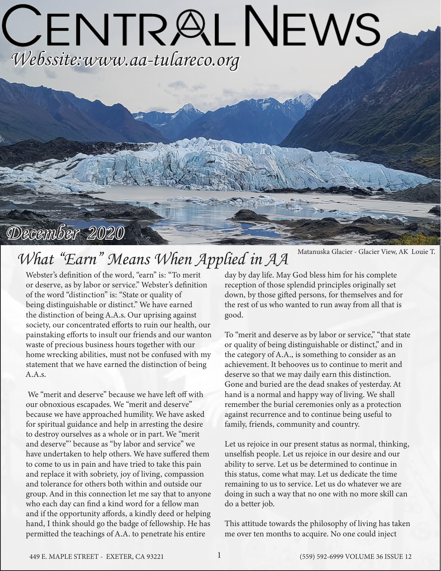# CENTRALNEWS *Webssite:www.aa-tulareco.org*

## *December 2020*

# *What "Earn" Means When Applied in AA*

Webster's definition of the word, "earn" is: "To merit or deserve, as by labor or service." Webster's definition of the word "distinction" is: "State or quality of being distinguishable or distinct." We have earned the distinction of being A.A.s. Our uprising against society, our concentrated efforts to ruin our health, our painstaking efforts to insult our friends and our wanton waste of precious business hours together with our home wrecking abilities, must not be confused with my statement that we have earned the distinction of being A.A.s.

 We "merit and deserve" because we have left off with our obnoxious escapades. We "merit and deserve" because we have approached humility. We have asked for spiritual guidance and help in arresting the desire to destroy ourselves as a whole or in part. We "merit and deserve"' because as "by labor and service" we have undertaken to help others. We have suffered them to come to us in pain and have tried to take this pain and replace it with sobriety, joy of living, compassion and tolerance for others both within and outside our group. And in this connection let me say that to anyone who each day can find a kind word for a fellow man and if the opportunity affords, a kindly deed or helping hand, I think should go the badge of fellowship. He has permitted the teachings of A.A. to penetrate his entire

Matanuska Glacier - Glacier View, AK Louie T.

day by day life. May God bless him for his complete reception of those splendid principles originally set down, by those gifted persons, for themselves and for the rest of us who wanted to run away from all that is good.

To "merit and deserve as by labor or service," "that state or quality of being distinguishable or distinct," and in the category of A.A., is something to consider as an achievement. It behooves us to continue to merit and deserve so that we may daily earn this distinction. Gone and buried are the dead snakes of yesterday. At hand is a normal and happy way of living. We shall remember the burial ceremonies only as a protection against recurrence and to continue being useful to family, friends, community and country.

Let us rejoice in our present status as normal, thinking, unselfish people. Let us rejoice in our desire and our ability to serve. Let us be determined to continue in this status, come what may. Let us dedicate the time remaining to us to service. Let us do whatever we are doing in such a way that no one with no more skill can do a better job.

This attitude towards the philosophy of living has taken me over ten months to acquire. No one could inject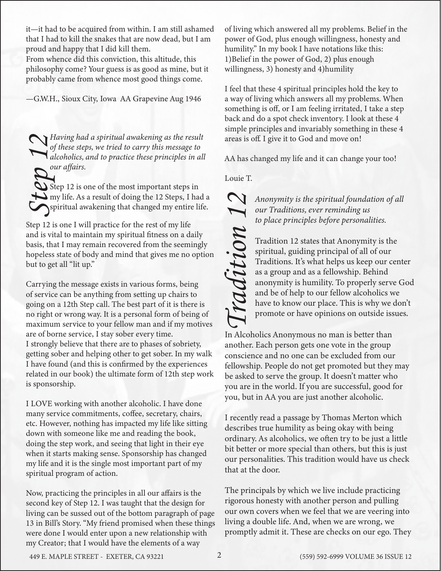it—it had to be acquired from within. I am still ashamed that I had to kill the snakes that are now dead, but I am proud and happy that I did kill them.

From whence did this conviction, this altitude, this philosophy come? Your guess is as good as mine, but it probably came from whence most good things come.

—G.W.H., Sioux City, Iowa AA Grapevine Aug 1946

*Having had a spiritual awakening as the result of these steps, we tried to carry this message to alcoholics, and to practice these principles in all our affairs.<br> Step 12 is one of the most important steps in my life. A of these steps, we tried to carry this message to alcoholics, and to practice these principles in all our affairs.*

Step 12 is one of the most important steps in my life. As a result of doing the 12 Steps, I had a spiritual awakening that changed my entire life.

Step 12 is one I will practice for the rest of my life and is vital to maintain my spiritual fitness on a daily basis, that I may remain recovered from the seemingly hopeless state of body and mind that gives me no option but to get all "lit up."

Carrying the message exists in various forms, being of service can be anything from setting up chairs to going on a 12th Step call. The best part of it is there is no right or wrong way. It is a personal form of being of maximum service to your fellow man and if my motives are of borne service, I stay sober every time. I strongly believe that there are to phases of sobriety, getting sober and helping other to get sober. In my walk I have found (and this is confirmed by the experiences related in our book) the ultimate form of 12th step work is sponsorship.

I LOVE working with another alcoholic. I have done many service commitments, coffee, secretary, chairs, etc. However, nothing has impacted my life like sitting down with someone like me and reading the book, doing the step work, and seeing that light in their eye when it starts making sense. Sponsorship has changed my life and it is the single most important part of my spiritual program of action.

Now, practicing the principles in all our affairs is the second key of Step 12. I was taught that the design for living can be sussed out of the bottom paragraph of page 13 in Bill's Story. "My friend promised when these things were done I would enter upon a new relationship with my Creator; that I would have the elements of a way

of living which answered all my problems. Belief in the power of God, plus enough willingness, honesty and humility." In my book I have notations like this: 1)Belief in the power of God, 2) plus enough willingness, 3) honesty and 4)humility

I feel that these 4 spiritual principles hold the key to a way of living which answers all my problems. When something is off, or I am feeling irritated, I take a step back and do a spot check inventory. I look at these 4 simple principles and invariably something in these 4 areas is off. I give it to God and move on!

AA has changed my life and it can change your too!

Louie T.

*our Traditions, ever reminding us to place principles before personalities.*

Anonymity is the spiritual foundation of all<br>
our Traditions, ever reminding us<br>
to place principles before personalities.<br>
Tradition 12 states that Anonymity is the<br>
spiritual, guiding principal of all of our<br>
Traditions. Tradition 12 states that Anonymity is the spiritual, guiding principal of all of our Traditions. It's what helps us keep our center as a group and as a fellowship. Behind anonymity is humility. To properly serve God and be of help to our fellow alcoholics we have to know our place. This is why we don't promote or have opinions on outside issues.

In Alcoholics Anonymous no man is better than another. Each person gets one vote in the group conscience and no one can be excluded from our fellowship. People do not get promoted but they may be asked to serve the group. It doesn't matter who you are in the world. If you are successful, good for you, but in AA you are just another alcoholic.

I recently read a passage by Thomas Merton which describes true humility as being okay with being ordinary. As alcoholics, we often try to be just a little bit better or more special than others, but this is just our personalities. This tradition would have us check that at the door.

The principals by which we live include practicing rigorous honesty with another person and pulling our own covers when we feel that we are veering into living a double life. And, when we are wrong, we promptly admit it. These are checks on our ego. They

449 E. MAPLE STREET - EXETER, CA 93221 (559) 592-6999 VOLUME 36 ISSUE 12 2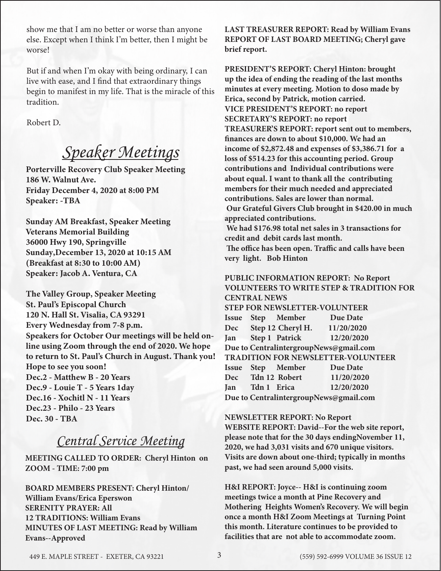show me that I am no better or worse than anyone else. Except when I think I'm better, then I might be worse!

But if and when I'm okay with being ordinary, I can live with ease, and I find that extraordinary things begin to manifest in my life. That is the miracle of this tradition.

Robert D.

## *Speaker Meetings*

Porterville Recovery Club Speaker Meeting 186 W. Walnut Ave. Friday December 4, 2020 at 8:00 PM Speaker: -TBA

Sunday AM Breakfast, Speaker Meeting Veterans Memorial Building 36000 Hwy 190, Springville Sunday,December 13, 2020 at 10:15 AM (Breakfast at 8:30 to 10:00 AM) Speaker: Jacob A. Ventura, CA

The Valley Group, Speaker Meeting St. Paul's Episcopal Church 120 N. Hall St. Visalia, CA 93291 Every Wednesday from 7-8 p.m. Speakers for October Our meetings will be held online using Zoom through the end of 2020. We hope to return to St. Paul's Church in August. Thank you! Hope to see you soon! Dec.2 - Matthew B - 20 Years Dec.9 - Louie T - 5 Years 1day Dec.16 - Xochitl N - 11 Years Dec.23 - Philo - 23 Years Dec. 30 - TBA

## *Central Service Meeting*

**MEETING CALLED TO ORDER: Cheryl Hinton on ZOOM - TIME: 7:00 pm**

**BOARD MEMBERS PRESENT: Cheryl Hinton/ William Evans/Erica Eperswon SERENITY PRAYER: All 12 TRADITIONS: William Evans MINUTES OF LAST MEETING: Read by William Evans--Approved**

**LAST TREASURER REPORT: Read by William Evans REPORT OF LAST BOARD MEETING; Cheryl gave brief report.**

**PRESIDENT'S REPORT: Cheryl Hinton: brought up the idea of ending the reading of the last months minutes at every meeting. Motion to doso made by Erica, second by Patrick, motion carried. VICE PRESIDENT'S REPORT: no report SECRETARY'S REPORT: no report TREASURER'S REPORT: report sent out to members, finances are down to about \$10,000. We had an income of \$2,872.48 and expenses of \$3,386.71 for a loss of \$514.23 for this accounting period. Group contributions and Individual contributions were about equal. I want to thank all the contributing members for their much needed and appreciated contributions. Sales are lower than normal. Our Grateful Givers Club brought in \$420.00 in much appreciated contributions. We had \$176.98 total net sales in 3 transactions for credit and debit cards last month.** 

 **The office has been open. Traffic and calls have been very light. Bob Hinton** 

## **PUBLIC INFORMATION REPORT: No Report VOLUNTEERS TO WRITE STEP & TRADITION FOR CENTRAL NEWS STEP FOR NEWSLETTER-VOLUNTEER Issue Step Member Due Date**

**Dec Step 12 Cheryl H. 11/20/2020 Jan Step 1 Patrick 12/20/2020 Due to CentralintergroupNews@gmail.com TRADITION FOR NEWSLETTER-VOLUNTEER Issue Step Member Due Date Dec Tdn 12 Robert 11/20/2020 Jan Tdn 1 Erica 12/20/2020 Due to CentralintergroupNews@gmail.com**

## **NEWSLETTER REPORT: No Report WEBSITE REPORT: David--For the web site report, please note that for the 30 days endingNovember 11, 2020, we had 3,031 visits and 670 unique visitors. Visits are down about one-third; typically in months**

**past, we had seen around 5,000 visits.**

**H&I REPORT: Joyce-- H&I is continuing zoom meetings twice a month at Pine Recovery and Mothering Heights Women's Recovery. We will begin once a month H&I Zoom Meetings at Turning Point this month. Literature continues to be provided to facilities that are not able to accommodate zoom.**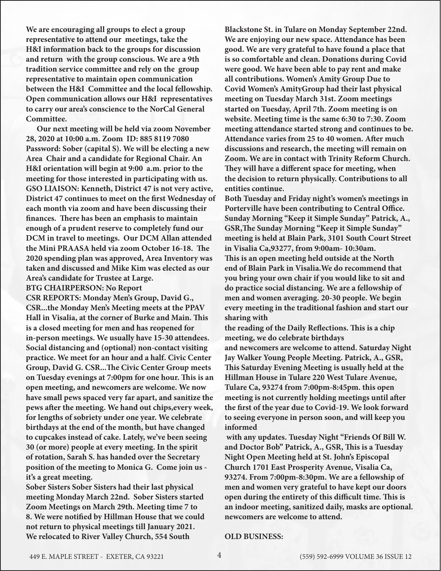**We are encouraging all groups to elect a group representative to attend our meetings, take the H&I information back to the groups for discussion and return with the group conscious. We are a 9th tradition service committee and rely on the group representative to maintain open communication between the H&I Committee and the local fellowship. Open communication allows our H&I representatives to carry our area's conscience to the NorCal General Committee.** 

 **Our next meeting will be held via zoom November 28, 2020 at 10:00 a.m. Zoom ID: 885 8119 7080 Password: Sober (capital S). We will be electing a new Area Chair and a candidate for Regional Chair. An H&I orientation will begin at 9:00 a.m. prior to the meeting for those interested in participating with us. GSO LIAISON: Kenneth, District 47 is not very active, District 47 continues to meet on the first Wednesday of each month via zoom and have been discussing their finances. There has been an emphasis to maintain enough of a prudent reserve to completely fund our DCM in travel to meetings. Our DCM Allan attended the Mini PRAASA held via zoom October 16-18. The 2020 spending plan was approved, Area Inventory was taken and discussed and Mike Kim was elected as our Area's candidate for Trustee at Large.** 

**BTG CHAIRPERSON: No Report**

**CSR REPORTS: Monday Men's Group, David G., CSR...the Monday Men's Meeting meets at the PPAV Hall in Visalia, at the corner of Burke and Main. This is a closed meeting for men and has reopened for in-person meetings. We usually have 15-30 attendees. Social distancing and (optional) non-contact visiting practice. We meet for an hour and a half. Civic Center Group, David G. CSR...The Civic Center Group meets on Tuesday evenings at 7:00pm for one hour. This is an open meeting, and newcomers are welcome. We now have small pews spaced very far apart, and sanitize the pews after the meeting. We hand out chips,every week, for lengths of sobriety under one year. We celebrate birthdays at the end of the month, but have changed to cupcakes instead of cake. Lately, we've been seeing 30 (or more) people at every meeting. In the spirit of rotation, Sarah S. has handed over the Secretary position of the meeting to Monica G. Come join us it's a great meeting.** 

**Sober Sisters Sober Sisters had their last physical meeting Monday March 22nd. Sober Sisters started Zoom Meetings on March 29th. Meeting time 7 to 8. We were notified by Hillman House that we could not return to physical meetings till January 2021. We relocated to River Valley Church, 554 South** 

**Blackstone St. in Tulare on Monday September 22nd. We are enjoying our new space. Attendance has been good. We are very grateful to have found a place that is so comfortable and clean. Donations during Covid were good. We have been able to pay rent and make all contributions. Women's Amity Group Due to Covid Women's AmityGroup had their last physical meeting on Tuesday March 31st. Zoom meetings started on Tuesday, April 7th. Zoom meeting is on website. Meeting time is the same 6:30 to 7:30. Zoom meeting attendance started strong and continues to be. Attendance varies from 25 to 40 women. After much discussions and research, the meeting will remain on Zoom. We are in contact with Trinity Reform Church. They will have a different space for meeting, when the decision to return physically. Contributions to all entities continue.**

**Both Tuesday and Friday night's women's meetings in Porterville have been contributing to Central Office. Sunday Morning "Keep it Simple Sunday" Patrick, A., GSR,The Sunday Morning "Keep it Simple Sunday" meeting is held at Blain Park, 3101 South Court Street in Visalia Ca,93277, from 9:00am- 10:30am. This is an open meeting held outside at the North end of Blain Park in Visalia.We do recommend that you bring your own chair if you would like to sit and do practice social distancing. We are a fellowship of men and women averaging. 20-30 people. We begin every meeting in the traditional fashion and start our sharing with** 

**the reading of the Daily Reflections. This is a chip meeting, we do celebrate birthdays and newcomers are welcome to attend. Saturday Night Jay Walker Young People Meeting. Patrick, A., GSR, This Saturday Evening Meeting is usually held at the Hillman House in Tulare 220 West Tulare Avenue, Tulare Ca, 93274 from 7:00pm-8:45pm. this open meeting is not currently holding meetings until after the first of the year due to Covid-19. We look forward to seeing everyone in person soon, and will keep you informed**

 **with any updates. Tuesday Night "Friends Of Bill W. and Doctor Bob" Patrick, A., GSR, This is a Tuesday Night Open Meeting held at St. John's Episcopal Church 1701 East Prosperity Avenue, Visalia Ca, 93274. From 7:00pm-8:30pm. We are a fellowship of men and women very grateful to have kept our doors open during the entirety of this difficult time. This is an indoor meeting, sanitized daily, masks are optional. newcomers are welcome to attend.**

#### **OLD BUSINESS:**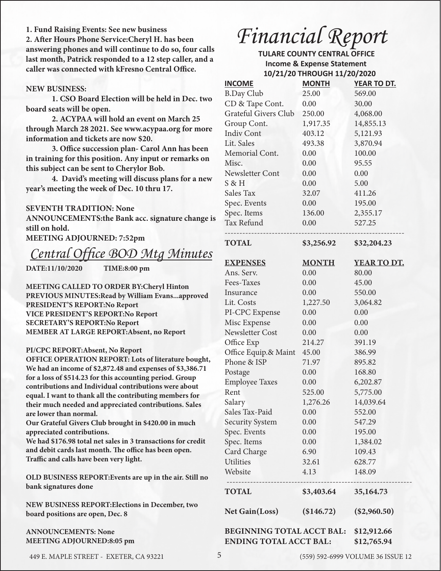### **1. Fund Raising Events: See new business**

**2. After Hours Phone Service:Cheryl H. has been answering phones and will continue to do so, four calls last month, Patrick responded to a 12 step caller, and a caller was connected with kFresno Central Office.**

### **NEW BUSINESS:**

**1. CSO Board Election will be held in Dec. two board seats will be open.**

 **2. ACYPAA will hold an event on March 25 through March 28 2021. See www.acypaa.org for more information and tickets are now \$20.**

**3. Office succession plan- Carol Ann has been in training for this position. Any input or remarks on this subject can be sent to Cherylor Bob.**

**4. David's meeting will discuss plans for a new year's meeting the week of Dec. 10 thru 17.**

#### **SEVENTH TRADITION: None**

**ANNOUNCEMENTS:the Bank acc. signature change is still on hold.**

## **MEETING ADJOURNED: 7:52pm**

## *Central Office BOD Mtg Minutes*

**DATE:11/10/2020 TIME:8:00 pm**

**MEETING CALLED TO ORDER BY:Cheryl Hinton PREVIOUS MINUTES:Read by William Evans...approved PRESIDENT'S REPORT:No Report VICE PRESIDENT'S REPORT:No Report SECRETARY'S REPORT:No Report MEMBER AT LARGE REPORT:Absent, no Report**

#### **PI/CPC REPORT:Absent, No Report**

**OFFICE OPERATION REPORT: Lots of literature bought, We had an income of \$2,872.48 and expenses of \$3,386.71 for a loss of \$514.23 for this accounting period. Group contributions and Individual contributions were about equal. I want to thank all the contributing members for their much needed and appreciated contributions. Sales are lower than normal.**

**Our Grateful Givers Club brought in \$420.00 in much appreciated contributions.**

**We had \$176.98 total net sales in 3 transactions for credit and debit cards last month. The office has been open. Traffic and calls have been very light.**

**OLD BUSINESS REPORT:Events are up in the air. Still no bank signatures done**

**NEW BUSINESS REPORT:Elections in December, two board positions are open, Dec. 8**

### **ANNOUNCEMENTS: None MEETING ADJOURNED:8:05 pm**

# *Financial Report*

 **TULARE COUNTY CENTRAL OFFICE Income & Expense Statement 10/21/20 THROUGH 11/20/2020**

| <b>INCOME</b>                                                               | <b>MONTH</b> | YEAR TO DT.    |
|-----------------------------------------------------------------------------|--------------|----------------|
| <b>B.Day Club</b>                                                           | 25.00        | 569.00         |
| CD & Tape Cont.                                                             | 0.00         | 30.00          |
| Grateful Givers Club                                                        | 250.00       | 4,068.00       |
| Group Cont.                                                                 | 1,917.35     | 14,855.13      |
| <b>Indiv Cont</b>                                                           | 403.12       | 5,121.93       |
| Lit. Sales                                                                  | 493.38       | 3,870.94       |
| Memorial Cont.                                                              | 0.00         | 100.00         |
| Misc.                                                                       | 0.00         | 95.55          |
| Newsletter Cont                                                             | 0.00         | 0.00           |
| $S \& H$                                                                    | 0.00         | 5.00           |
| Sales Tax                                                                   | 32.07        | 411.26         |
| Spec. Events                                                                | 0.00         | 195.00         |
| Spec. Items                                                                 | 136.00       | 2,355.17       |
| Tax Refund                                                                  | 0.00         | 527.25         |
| <b>TOTAL</b>                                                                | \$3,256.92   | \$32,204.23    |
| <b>EXPENSES</b>                                                             | <b>MONTH</b> | YEAR TO DT.    |
| Ans. Serv.                                                                  | 0.00         | 80.00          |
| Fees-Taxes                                                                  | 0.00         | 45.00          |
| Insurance                                                                   | 0.00         | 550.00         |
| Lit. Costs                                                                  | 1,227.50     | 3,064.82       |
| PI-CPC Expense                                                              | 0.00         | 0.00           |
| Misc Expense                                                                | 0.00         | 0.00           |
| <b>Newsletter Cost</b>                                                      | 0.00         | 0.00           |
| Office Exp                                                                  | 214.27       | 391.19         |
| Office Equip.& Maint                                                        | 45.00        | 386.99         |
| Phone & ISP                                                                 | 71.97        | 895.82         |
| Postage                                                                     | 0.00         | 168.80         |
| <b>Employee Taxes</b>                                                       | 0.00         | 6,202.87       |
| Rent                                                                        | 525.00       | 5,775.00       |
| Salary                                                                      | 1,276.26     | 14,039.64      |
| Sales Tax-Paid                                                              | 0.00         | 552.00         |
| <b>Security System</b>                                                      | 0.00         | 547.29         |
| Spec. Events                                                                | 0.00         | 195.00         |
| Spec. Items                                                                 | 0.00         | 1,384.02       |
| Card Charge                                                                 | 6.90         | 109.43         |
| Utilities                                                                   | 32.61        | 628.77         |
| Website<br>-----------------------                                          | 4.13         | 148.09         |
| <b>TOTAL</b>                                                                | \$3,403.64   | 35,164.73      |
| <b>Net Gain(Loss)</b>                                                       | (\$146.72)   | $(\$2,960.50)$ |
| BEGINNING TOTAL ACCT BAL: \$12,912.66<br>ENDING TOTAL ACCT BAL: \$12,765.94 |              |                |

449 E. MAPLE STREET - EXETER, CA 93221 5 (559) 592-6999 VOLUME 36 ISSUE 12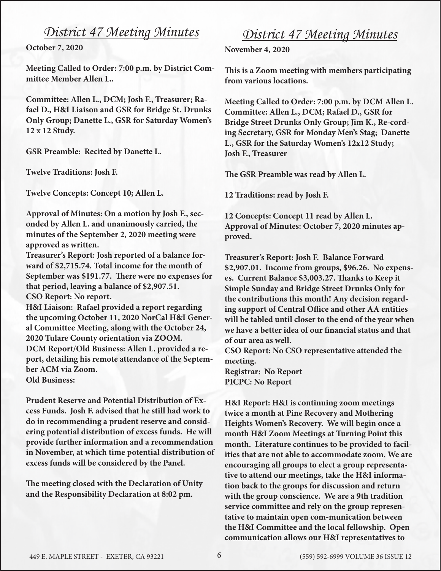## *District 47 Meeting Minutes*

**October 7, 2020**

**Meeting Called to Order: 7:00 p.m. by District Committee Member Allen L..** 

**Committee: Allen L., DCM; Josh F., Treasurer; Rafael D., H&I Liaison and GSR for Bridge St. Drunks Only Group; Danette L., GSR for Saturday Women's 12 x 12 Study.**

**GSR Preamble: Recited by Danette L.**

**Twelve Traditions: Josh F.**

**Twelve Concepts: Concept 10; Allen L.**

**Approval of Minutes: On a motion by Josh F., seconded by Allen L. and unanimously carried, the minutes of the September 2, 2020 meeting were approved as written.** 

**Treasurer's Report: Josh reported of a balance forward of \$2,715.74. Total income for the month of September was \$191.77. There were no expenses for that period, leaving a balance of \$2,907.51. CSO Report: No report.**

**H&I Liaison: Rafael provided a report regarding the upcoming October 11, 2020 NorCal H&I General Committee Meeting, along with the October 24, 2020 Tulare County orientation via ZOOM. DCM Report/Old Business: Allen L. provided a report, detailing his remote attendance of the September ACM via Zoom. Old Business:** 

**Prudent Reserve and Potential Distribution of Excess Funds. Josh F. advised that he still had work to do in recommending a prudent reserve and considering potential distribution of excess funds. He will provide further information and a recommendation in November, at which time potential distribution of excess funds will be considered by the Panel.**

**The meeting closed with the Declaration of Unity and the Responsibility Declaration at 8:02 pm.** 

## *District 47 Meeting Minutes*

**November 4, 2020**

**This is a Zoom meeting with members participating from various locations.**

**Meeting Called to Order: 7:00 p.m. by DCM Allen L. Committee: Allen L., DCM; Rafael D., GSR for Bridge Street Drunks Only Group; Jim K., Re-cording Secretary, GSR for Monday Men's Stag; Danette L., GSR for the Saturday Women's 12x12 Study; Josh F., Treasurer**

**The GSR Preamble was read by Allen L.**

**12 Traditions: read by Josh F.** 

**12 Concepts: Concept 11 read by Allen L. Approval of Minutes: October 7, 2020 minutes approved.**

**Treasurer's Report: Josh F. Balance Forward \$2,907.01. Income from groups, \$96.26. No expenses. Current Balance \$3,003.27. Thanks to Keep it Simple Sunday and Bridge Street Drunks Only for the contributions this month! Any decision regarding support of Central Office and other AA entities will be tabled until closer to the end of the year when we have a better idea of our financial status and that of our area as well.**

**CSO Report: No CSO representative attended the meeting. Registrar: No Report**

**PICPC: No Report**

**H&I Report: H&I is continuing zoom meetings twice a month at Pine Recovery and Mothering Heights Women's Recovery. We will begin once a month H&I Zoom Meetings at Turning Point this month. Literature continues to be provided to facilities that are not able to accommodate zoom. We are encouraging all groups to elect a group representative to attend our meetings, take the H&I information back to the groups for discussion and return with the group conscience. We are a 9th tradition service committee and rely on the group representative to maintain open com-munication between the H&I Committee and the local fellowship. Open communication allows our H&I representatives to**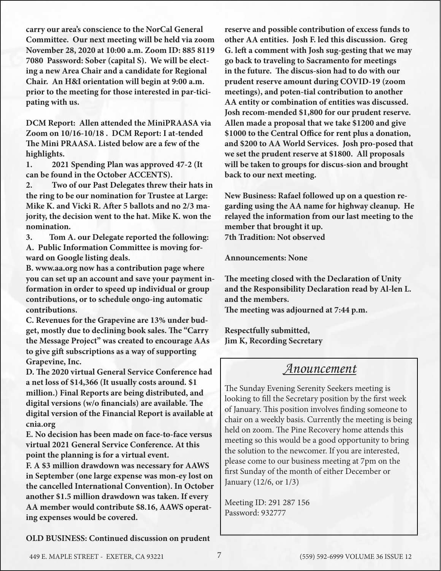**carry our area's conscience to the NorCal General Committee. Our next meeting will be held via zoom November 28, 2020 at 10:00 a.m. Zoom ID: 885 8119 7080 Password: Sober (capital S). We will be electing a new Area Chair and a candidate for Regional Chair. An H&I orientation will begin at 9:00 a.m. prior to the meeting for those interested in par-ticipating with us.**

**DCM Report: Allen attended the MiniPRAASA via Zoom on 10/16-10/18 . DCM Report: I at-tended The Mini PRAASA. Listed below are a few of the highlights.** 

**1. 2021 Spending Plan was approved 47-2 (It can be found in the October ACCENTS).** 

**2. Two of our Past Delegates threw their hats in the ring to be our nomination for Trustee at Large: Mike K. and Vicki R. After 5 ballots and no 2/3 majority, the decision went to the hat. Mike K. won the nomination.** 

**3. Tom A. our Delegate reported the following: A. Public Information Committee is moving forward on Google listing deals.**

**B. www.aa.org now has a contribution page where you can set up an account and save your payment information in order to speed up individual or group contributions, or to schedule ongo-ing automatic contributions.**

**C. Revenues for the Grapevine are 13% under budget, mostly due to declining book sales. The "Carry the Message Project" was created to encourage AAs to give gift subscriptions as a way of supporting Grapevine, Inc.**

**D. The 2020 virtual General Service Conference had a net loss of \$14,366 (It usually costs around. \$1 million.) Final Reports are being distributed, and digital versions (w/o financials) are available. The digital version of the Financial Report is available at cnia.org**

**E. No decision has been made on face-to-face versus virtual 2021 General Service Conference. At this point the planning is for a virtual event.**

**F. A \$3 million drawdown was necessary for AAWS in September (one large expense was mon-ey lost on the cancelled International Convention). In October another \$1.5 million drawdown was taken. If every AA member would contribute \$8.16, AAWS operating expenses would be covered.**

**reserve and possible contribution of excess funds to other AA entities. Josh F. led this discussion. Greg G. left a comment with Josh sug-gesting that we may go back to traveling to Sacramento for meetings in the future. The discus-sion had to do with our prudent reserve amount during COVID-19 (zoom meetings), and poten-tial contribution to another AA entity or combination of entities was discussed. Josh recom-mended \$1,800 for our prudent reserve. Allen made a proposal that we take \$1200 and give \$1000 to the Central Office for rent plus a donation, and \$200 to AA World Services. Josh pro-posed that we set the prudent reserve at \$1800. All proposals will be taken to groups for discus-sion and brought back to our next meeting.** 

**New Business: Rafael followed up on a question regarding using the AA name for highway cleanup. He relayed the information from our last meeting to the member that brought it up. 7th Tradition: Not observed**

**Announcements: None**

**The meeting closed with the Declaration of Unity and the Responsibility Declaration read by Al-len L. and the members. The meeting was adjourned at 7:44 p.m.**

**Respectfully submitted, Jim K, Recording Secretary**

## *Anouncement*

The Sunday Evening Serenity Seekers meeting is looking to fill the Secretary position by the first week of January. This position involves finding someone to chair on a weekly basis. Currently the meeting is being held on zoom. The Pine Recovery home attends this meeting so this would be a good opportunity to bring the solution to the newcomer. If you are interested, please come to our business meeting at 7pm on the first Sunday of the month of either December or January (12/6, or 1/3)

Meeting ID: 291 287 156 Password: 932777

**OLD BUSINESS: Continued discussion on prudent**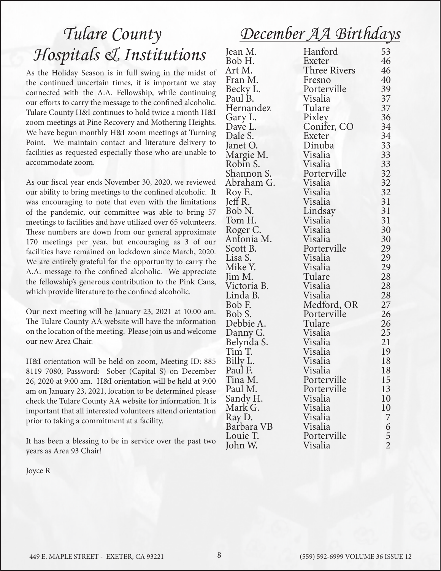## *December AA Birthdays*

# *Tulare County Hospitals & Institutions*

As the Holiday Season is in full swing in the midst of the continued uncertain times, it is important we stay connected with the A.A. Fellowship, while continuing our efforts to carry the message to the confined alcoholic. Tulare County H&I continues to hold twice a month H&I zoom meetings at Pine Recovery and Mothering Heights. We have begun monthly H&I zoom meetings at Turning Point. We maintain contact and literature delivery to facilities as requested especially those who are unable to accommodate zoom.

As our fiscal year ends November 30, 2020, we reviewed our ability to bring meetings to the confined alcoholic. It was encouraging to note that even with the limitations of the pandemic, our committee was able to bring 57 meetings to facilities and have utilized over 65 volunteers. These numbers are down from our general approximate 170 meetings per year, but encouraging as 3 of our facilities have remained on lockdown since March, 2020. We are entirely grateful for the opportunity to carry the A.A. message to the confined alcoholic. We appreciate the fellowship's generous contribution to the Pink Cans, which provide literature to the confined alcoholic.

Our next meeting will be January 23, 2021 at 10:00 am. The Tulare County AA website will have the information on the location of the meeting. Please join us and welcome our new Area Chair.

H&I orientation will be held on zoom, Meeting ID: 885 8119 7080; Password: Sober (Capital S) on December 26, 2020 at 9:00 am. H&I orientation will be held at 9:00 am on January 23, 2021, location to be determined please check the Tulare County AA website for information. It is important that all interested volunteers attend orientation prior to taking a commitment at a facility.

It has been a blessing to be in service over the past two years as Area 93 Chair!

Joyce R

| Jean M.                | Hanford             | 53            |
|------------------------|---------------------|---------------|
| Bob H.                 | Exeter              | 46            |
| Art M.                 | <b>Three Rivers</b> | 46            |
| Fran M.                | Fresno              | 40            |
| Becky L.               | Porterville         | 39            |
| Paul B.                | Visalia             | 37            |
| Hernandez              | Tulare              | 37            |
| Gary L.                | Pixley              | 36            |
| Dave L.                | Conifer, CO         | 34            |
| Dale S.                | Exeter              | 34            |
| Janet O.               | Dinuba              | 33            |
| Margie M.              | Visalia             | 33            |
| Robin S.               | Visalia             | 33            |
| Shannon S.             | Porterville         |               |
| Abraham G.             | Visalia             | 32<br>32      |
| Roy E.                 | Visalia             | 32            |
| Jeff R.                | Visalia             | 31            |
| Bob N.                 | Lindsay             | 31            |
| Tom H.                 | Visalia             | 31            |
|                        | Visalia             | 30            |
| Roger C.<br>Antonia M. | Visalia             | 30            |
| Scott B.               | Porterville         |               |
|                        | Visalia             | 29            |
| Lisa S.                |                     | 29            |
| Mike Y.                | Visalia             | 29            |
| Jim M.                 | Tulare              | 28            |
| Victoria B.            | Visalia             | 28            |
| Linda B.               | Visalia             | 28            |
| Bob F.                 | Medford, OR         | 27            |
| Bob S.                 | Porterville         | 26            |
| Debbie A.              | Tulare              | 26            |
| Danny G.               | Visalia             | 25            |
| Belynda S.             | Visalia             | 21            |
| Tim T.                 | Visalia             | 19            |
| Billy L.               | Visalia             | 18            |
| Paul F.                | Visalia             | 18            |
| Tina M.                | Porterville         | 15            |
| Paul M.                | Porterville         | 13            |
| Sandy H.               | Visalia             | 10            |
| Mark G.                | Visalia             | 10            |
| Ray D.                 | Visalia             | 7             |
| Barbara VB             | Visalia             |               |
| Louie T.               | Porterville         |               |
| John W.                | Visalia             | $\frac{6}{2}$ |
|                        |                     |               |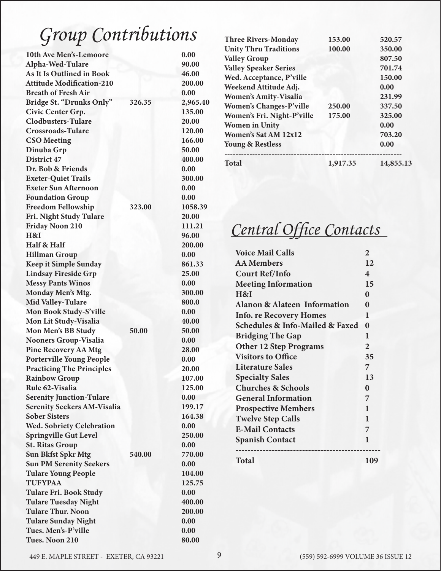# Group Contributions

| 10th Ave Men's-Lemoore             |        | 0.00     |
|------------------------------------|--------|----------|
| Alpha-Wed-Tulare                   |        | 90.00    |
| <b>As It Is Outlined in Book</b>   |        | 46.00    |
| <b>Attitude Modification-210</b>   |        | 200.00   |
| <b>Breath of Fresh Air</b>         |        | 0.00     |
| Bridge St. "Drunks Only"           | 326.35 | 2,965.40 |
| Civic Center Grp.                  |        | 135.00   |
| <b>Clodbusters-Tulare</b>          |        | 20.00    |
| <b>Crossroads-Tulare</b>           |        | 120.00   |
| <b>CSO</b> Meeting                 |        | 166.00   |
| Dinuba Grp                         |        | 50.00    |
| District 47                        |        | 400.00   |
| Dr. Bob & Friends                  |        | 0.00     |
| <b>Exeter-Quiet Trails</b>         |        | 300.00   |
| <b>Exeter Sun Afternoon</b>        |        | 0.00     |
| <b>Foundation Group</b>            |        | 0.00     |
| <b>Freedom Fellowship</b>          | 323.00 | 1058.39  |
| Fri. Night Study Tulare            |        | 20.00    |
| <b>Friday Noon 210</b>             |        | 111.21   |
| H&I                                |        | 96.00    |
| Half & Half                        |        | 200.00   |
| <b>Hillman Group</b>               |        | 0.00     |
| <b>Keep it Simple Sunday</b>       |        | 861.33   |
| <b>Lindsay Fireside Grp</b>        |        | 25.00    |
| <b>Messy Pants Winos</b>           |        | 0.00     |
| Monday Men's Mtg.                  |        | 300.00   |
| <b>Mid Valley-Tulare</b>           |        | 800.0    |
| Mon Book Study-S'ville             |        | 0.00     |
| Mon Lit Study-Visalia              |        | 40.00    |
| Mon Men's BB Study                 | 50.00  | 50.00    |
| <b>Nooners Group-Visalia</b>       |        | 0.00     |
| <b>Pine Recovery AA Mtg</b>        |        | 28.00    |
| <b>Porterville Young People</b>    |        | 0.00     |
| <b>Practicing The Principles</b>   |        | 20.00    |
| <b>Rainbow Group</b>               |        | 107.00   |
| Rule 62-Visalia                    |        | 125.00   |
| <b>Serenity Junction-Tulare</b>    |        | 0.00     |
| <b>Serenity Seekers AM-Visalia</b> |        | 199.17   |
| <b>Sober Sisters</b>               |        | 164.38   |
| <b>Wed. Sobriety Celebration</b>   |        | 0.00     |
| <b>Springville Gut Level</b>       |        | 250.00   |
| <b>St. Ritas Group</b>             |        | 0.00     |
| <b>Sun Bkfst Spkr Mtg</b>          | 540.00 | 770.00   |
| <b>Sun PM Serenity Seekers</b>     |        | 0.00     |
| <b>Tulare Young People</b>         |        | 104.00   |
| <b>TUFYPAA</b>                     |        | 125.75   |
| <b>Tulare Fri. Book Study</b>      |        | 0.00     |
| <b>Tulare Tuesday Night</b>        |        | 400.00   |
| <b>Tulare Thur. Noon</b>           |        | 200.00   |
| <b>Tulare Sunday Night</b>         |        | 0.00     |
| Tues. Men's-P'ville                |        | 0.00     |
| Tues. Noon 210                     |        | 80.00    |
|                                    |        |          |

| 325.00<br>0.00<br>703.20<br>0.00 |
|----------------------------------|
|                                  |
|                                  |
|                                  |
|                                  |
| 337.50                           |
| 231.99                           |
| 0.00                             |
| 150.00                           |
| 701.74                           |
| 807.50                           |
| 350.00                           |
| 520.57                           |
|                                  |

## *Central Office Contacts*

| <b>Voice Mail Calls</b>                        |                |
|------------------------------------------------|----------------|
| <b>AA Members</b>                              |                |
| <b>Court Ref/Info</b>                          |                |
| <b>Meeting Information</b>                     | 15             |
| H&I                                            |                |
| <b>Alanon &amp; Alateen Information</b>        |                |
| <b>Info. re Recovery Homes</b>                 |                |
| <b>Schedules &amp; Info-Mailed &amp; Faxed</b> | $\bf{0}$       |
| <b>Bridging The Gap</b>                        | 1              |
| <b>Other 12 Step Programs</b>                  | $\overline{2}$ |
| <b>Visitors to Office</b>                      | 35             |
| Literature Sales                               | 7              |
| <b>Specialty Sales</b>                         | 13             |
| <b>Churches &amp; Schools</b>                  | $\bf{0}$       |
| <b>General Information</b>                     | 7              |
| <b>Prospective Members</b>                     | 1              |
| <b>Twelve Step Calls</b>                       | 1              |
| <b>E-Mail Contacts</b>                         | 7              |
| <b>Spanish Contact</b>                         | 1              |
|                                                |                |
| Total                                          | 109            |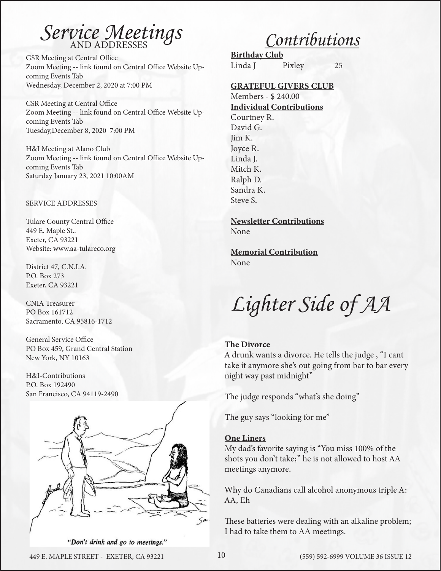# *Service Meetings*

GSR Meeting at Central Office Zoom Meeting -- link found on Central Office Website Upcoming Events Tab Wednesday, December 2, 2020 at 7:00 PM

CSR Meeting at Central Office Zoom Meeting -- link found on Central Office Website Upcoming Events Tab Tuesday,December 8, 2020 7:00 PM

H&I Meeting at Alano Club Zoom Meeting -- link found on Central Office Website Upcoming Events Tab Saturday January 23, 2021 10:00AM

#### SERVICE ADDRESSES

Tulare County Central Office 449 E. Maple St.. Exeter, CA 93221 Website: www.aa-tulareco.org

District 47, C.N.I.A. P.O. Box 273 Exeter, CA 93221

CNIA Treasurer PO Box 161712 Sacramento, CA 95816-1712

General Service Office PO Box 459, Grand Central Station New York, NY 10163

H&I-Contributions P.O. Box 192490 San Francisco, CA 94119-2490



*Contributions*

Birthday Club Linda J Pixley 25

#### GRATEFUL GIVERS CLUB

Members - \$ 240.00 Individual Contributions Courtney R. David G. Jim K. Joyce R. Linda J. Mitch K. Ralph D. Sandra K. Steve S.

Newsletter Contributions None

Memorial Contribution

None

*Lighter Side of AA*

#### The Divorce

A drunk wants a divorce. He tells the judge , "I cant take it anymore she's out going from bar to bar every night way past midnight"

The judge responds "what's she doing"

The guy says "looking for me"

### One Liners

My dad's favorite saying is "You miss 100% of the shots you don't take;" he is not allowed to host AA meetings anymore.

Why do Canadians call alcohol anonymous triple A: AA, Eh

These batteries were dealing with an alkaline problem; I had to take them to AA meetings.

"Don't drink and go to meetings."